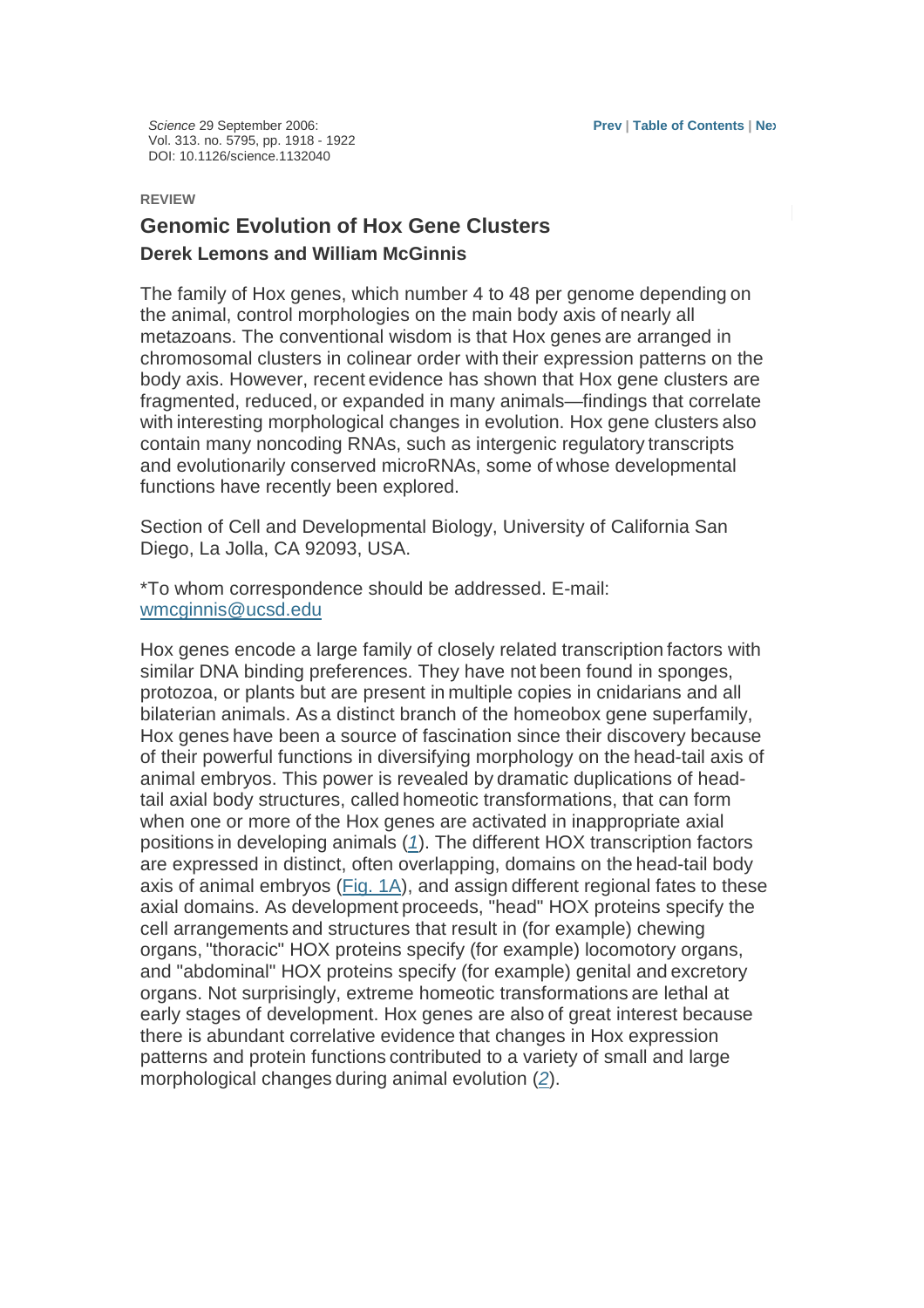Science 29 September 2006: Vol. 313. no. 5795, pp. 1918 - 1922 DOI: 10.1126/science.1132040

#### **REVIEW**

# **Genomic Evolution of Hox Gene Clusters Derek Lemons and William McGinnis**

The family of Hox genes, which number 4 to 48 per genome depending on the animal, control morphologies on the main body axis of nearly all metazoans. The conventional wisdom is that Hox genes are arranged in chromosomal clusters in colinear order with their expression patterns on the body axis. However, recent evidence has shown that Hox gene clusters are fragmented, reduced, or expanded in many animals—findings that correlate with interesting morphological changes in evolution. Hox gene clusters also contain many noncoding RNAs, such as intergenic regulatory transcripts and evolutionarily conserved microRNAs, some of whose developmental functions have recently been explored.

Section of Cell and Developmental Biology, University of California San Diego, La Jolla, CA 92093, USA.

\*To whom correspondence should be addressed. E-mail: wmcginnis@ucsd.edu

Hox genes encode a large family of closely related transcription factors with similar DNA binding preferences. They have not been found in sponges. protozoa, or plants but are present in multiple copies in cnidarians and all bilaterian animals. As a distinct branch of the homeobox gene superfamily, Hox genes have been a source of fascination since their discovery because of their powerful functions in diversifying morphology on the head-tail axis of animal embryos. This power is revealed by dramatic duplications of headtail axial body structures, called homeotic transformations, that can form when one or more of the Hox genes are activated in inappropriate axial positions in developing animals (1). The different HOX transcription factors are expressed in distinct, often overlapping, domains on the head-tail body axis of animal embryos (Fig. 1A), and assign different regional fates to these axial domains. As development proceeds, "head" HOX proteins specify the cell arrangements and structures that result in (for example) chewing organs, "thoracic" HOX proteins specify (for example) locomotory organs, and "abdominal" HOX proteins specify (for example) genital and excretory organs. Not surprisingly, extreme homeotic transformations are lethal at early stages of development. Hox genes are also of great interest because there is abundant correlative evidence that changes in Hox expression patterns and protein functions contributed to a variety of small and large morphological changes during animal evolution (2).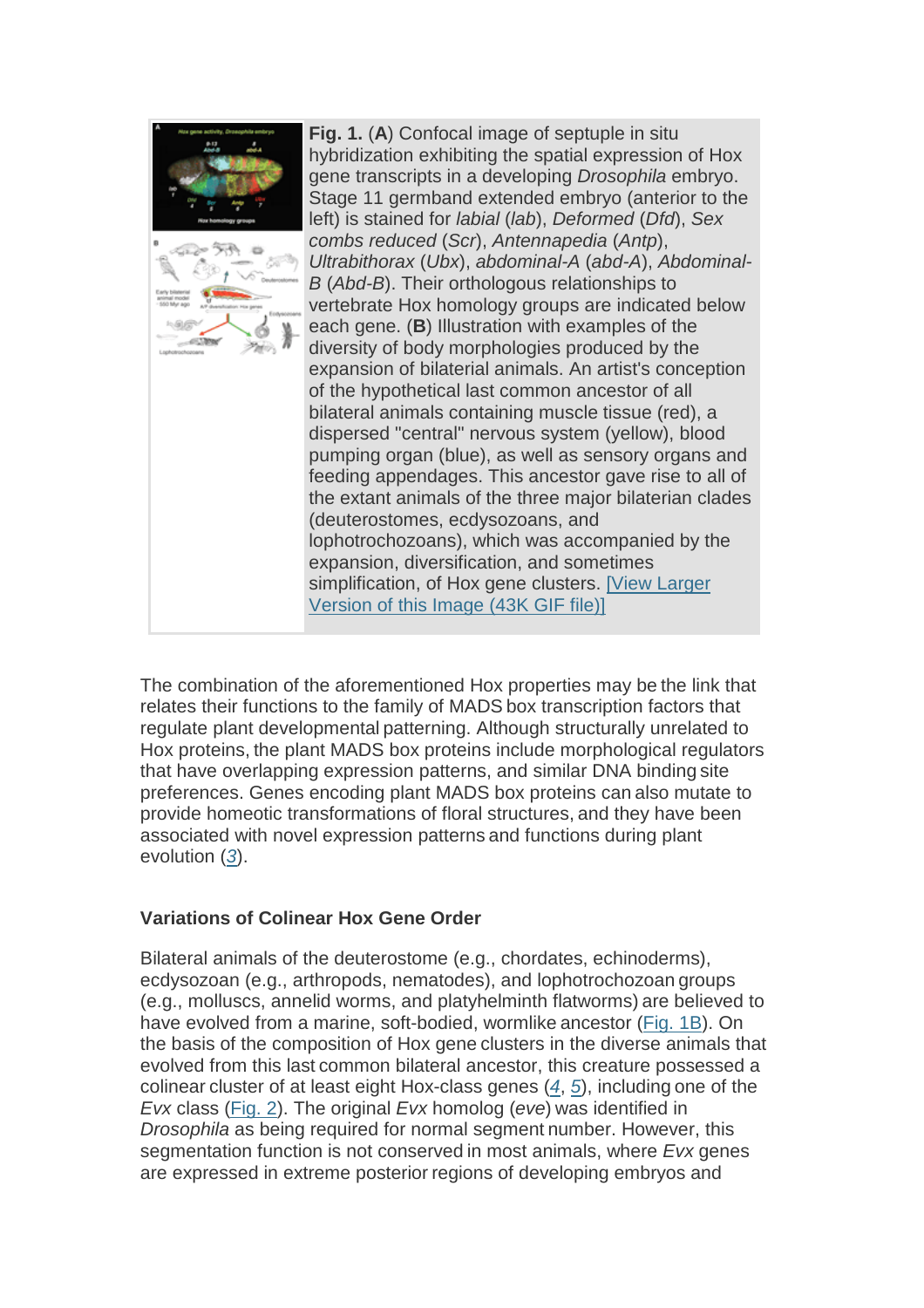

The combination of the aforementioned Hox properties may be the link that relates their functions to the family of MADS box transcription factors that regulate plant developmental patterning. Although structurally unrelated to Hox proteins, the plant MADS box proteins include morphological regulators that have overlapping expression patterns, and similar DNA binding site preferences. Genes encoding plant MADS box proteins can also mutate to provide homeotic transformations of floral structures, and they have been associated with novel expression patterns and functions during plant evolution (3).

## **Variations of Colinear Hox Gene Order**

Bilateral animals of the deuterostome (e.g., chordates, echinoderms), ecdysozoan (e.g., arthropods, nematodes), and lophotrochozoan groups (e.g., molluscs, annelid worms, and platyhelminth flatworms) are believed to have evolved from a marine, soft-bodied, wormlike ancestor (Fig. 1B). On the basis of the composition of Hox gene clusters in the diverse animals that evolved from this last common bilateral ancestor, this creature possessed a colinear cluster of at least eight Hox-class genes (4, 5), including one of the Evx class (Fig. 2). The original Evx homolog (eve) was identified in Drosophila as being required for normal segment number. However, this segmentation function is not conserved in most animals, where Evx genes are expressed in extreme posterior regions of developing embryos and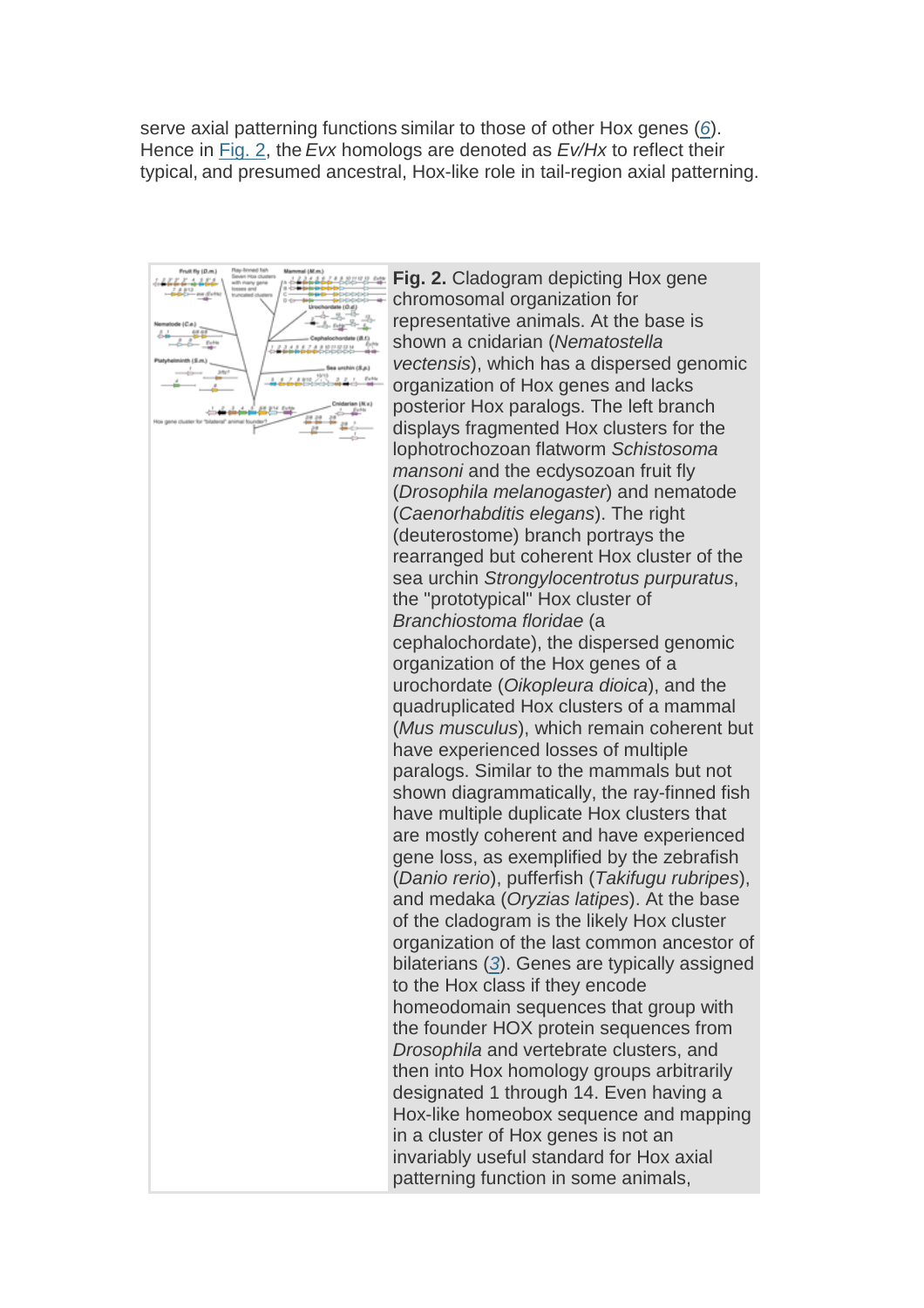serve axial patterning functions similar to those of other Hox genes (6). Hence in Fig. 2, the Evx homologs are denoted as Ev/Hx to reflect their typical, and presumed ancestral, Hox-like role in tail-region axial patterning.



**Fig. 2.** Cladogram depicting Hox gene chromosomal organization for representative animals. At the base is shown a cnidarian (Nematostella vectensis), which has a dispersed genomic organization of Hox genes and lacks posterior Hox paralogs. The left branch displays fragmented Hox clusters for the lophotrochozoan flatworm Schistosoma mansoni and the ecdysozoan fruit fly (Drosophila melanogaster) and nematode (Caenorhabditis elegans). The right (deuterostome) branch portrays the rearranged but coherent Hox cluster of the sea urchin Strongylocentrotus purpuratus, the "prototypical" Hox cluster of Branchiostoma floridae (a cephalochordate), the dispersed genomic organization of the Hox genes of a urochordate (Oikopleura dioica), and the quadruplicated Hox clusters of a mammal (Mus musculus), which remain coherent but have experienced losses of multiple paralogs. Similar to the mammals but not shown diagrammatically, the ray-finned fish have multiple duplicate Hox clusters that are mostly coherent and have experienced gene loss, as exemplified by the zebrafish (Danio rerio), pufferfish (Takifugu rubripes), and medaka (Oryzias latipes). At the base of the cladogram is the likely Hox cluster organization of the last common ancestor of bilaterians (3). Genes are typically assigned to the Hox class if they encode homeodomain sequences that group with the founder HOX protein sequences from Drosophila and vertebrate clusters, and then into Hox homology groups arbitrarily designated 1 through 14. Even having a Hox-like homeobox sequence and mapping in a cluster of Hox genes is not an invariably useful standard for Hox axial patterning function in some animals,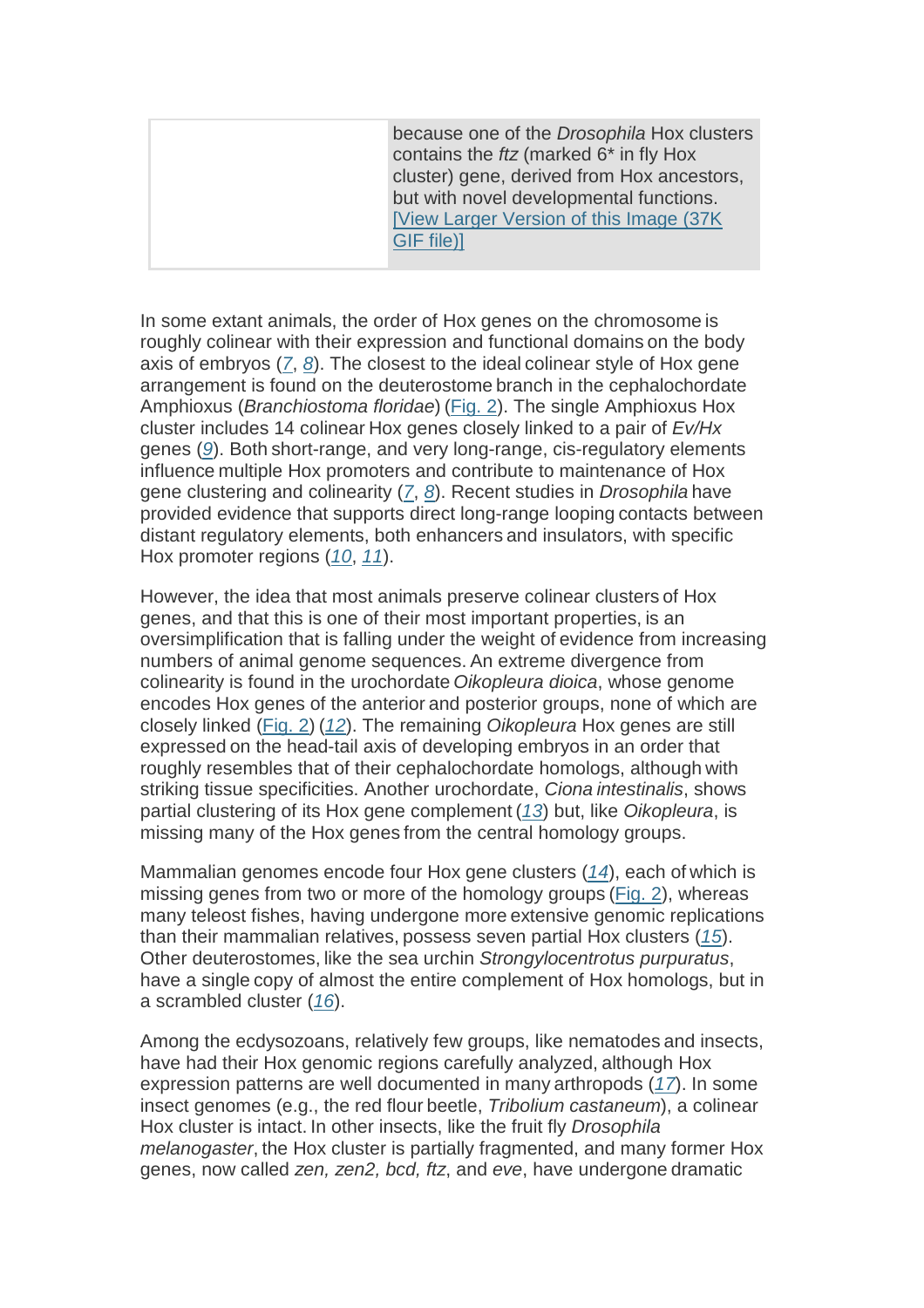because one of the Drosophila Hox clusters contains the ftz (marked 6\* in fly Hox cluster) gene, derived from Hox ancestors, but with novel developmental functions. [View Larger Version of this Image (37K GIF file)]

In some extant animals, the order of Hox genes on the chromosome is roughly colinear with their expression and functional domains on the body axis of embryos (7, 8). The closest to the ideal colinear style of Hox gene arrangement is found on the deuterostome branch in the cephalochordate Amphioxus (Branchiostoma floridae) (Fig. 2). The single Amphioxus Hox cluster includes 14 colinear Hox genes closely linked to a pair of Ev/Hx genes (9). Both short-range, and very long-range, cis-regulatory elements influence multiple Hox promoters and contribute to maintenance of Hox gene clustering and colinearity (7, 8). Recent studies in Drosophila have provided evidence that supports direct long-range looping contacts between distant regulatory elements, both enhancers and insulators, with specific Hox promoter regions (10, 11).

However, the idea that most animals preserve colinear clusters of Hox genes, and that this is one of their most important properties, is an oversimplification that is falling under the weight of evidence from increasing numbers of animal genome sequences. An extreme divergence from colinearity is found in the urochordate Oikopleura dioica, whose genome encodes Hox genes of the anterior and posterior groups, none of which are closely linked (Fig. 2) (12). The remaining Oikopleura Hox genes are still expressed on the head-tail axis of developing embryos in an order that roughly resembles that of their cephalochordate homologs, although with striking tissue specificities. Another urochordate, Ciona intestinalis, shows partial clustering of its Hox gene complement (13) but, like Oikopleura, is missing many of the Hox genes from the central homology groups.

Mammalian genomes encode four Hox gene clusters  $(14)$ , each of which is missing genes from two or more of the homology groups (Fig. 2), whereas many teleost fishes, having undergone more extensive genomic replications than their mammalian relatives, possess seven partial Hox clusters (15). Other deuterostomes, like the sea urchin Strongylocentrotus purpuratus, have a single copy of almost the entire complement of Hox homologs, but in a scrambled cluster (16).

Among the ecdysozoans, relatively few groups, like nematodes and insects, have had their Hox genomic regions carefully analyzed, although Hox expression patterns are well documented in many arthropods (17). In some insect genomes (e.g., the red flour beetle, Tribolium castaneum), a colinear Hox cluster is intact. In other insects, like the fruit fly Drosophila melanogaster, the Hox cluster is partially fragmented, and many former Hox genes, now called zen, zen2, bcd, ftz, and eve, have undergone dramatic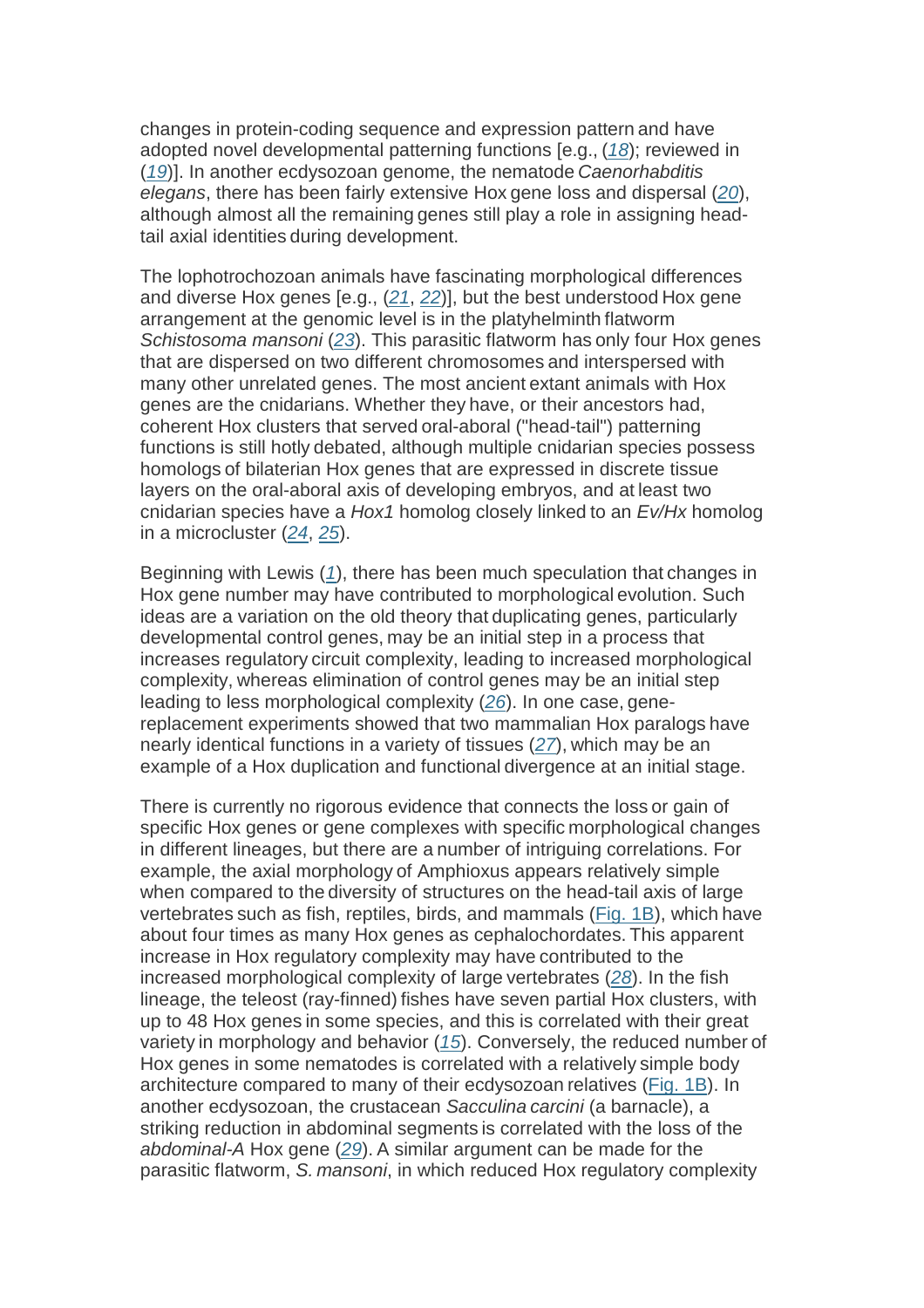changes in protein-coding sequence and expression pattern and have adopted novel developmental patterning functions [e.g., (18); reviewed in (19)]. In another ecdysozoan genome, the nematode Caenorhabditis elegans, there has been fairly extensive Hox gene loss and dispersal (20), although almost all the remaining genes still play a role in assigning headtail axial identities during development.

The lophotrochozoan animals have fascinating morphological differences and diverse Hox genes [e.g.,  $(21, 22)$ ], but the best understood Hox gene arrangement at the genomic level is in the platyhelminth flatworm Schistosoma mansoni (23). This parasitic flatworm has only four Hox genes that are dispersed on two different chromosomes and interspersed with many other unrelated genes. The most ancient extant animals with Hox genes are the cnidarians. Whether they have, or their ancestors had, coherent Hox clusters that served oral-aboral ("head-tail") patterning functions is still hotly debated, although multiple cnidarian species possess homologs of bilaterian Hox genes that are expressed in discrete tissue layers on the oral-aboral axis of developing embryos, and at least two cnidarian species have a Hox1 homolog closely linked to an Ev/Hx homolog in a microcluster (24, 25).

Beginning with Lewis (1), there has been much speculation that changes in Hox gene number may have contributed to morphological evolution. Such ideas are a variation on the old theory that duplicating genes, particularly developmental control genes, may be an initial step in a process that increases regulatory circuit complexity, leading to increased morphological complexity, whereas elimination of control genes may be an initial step leading to less morphological complexity (26). In one case, genereplacement experiments showed that two mammalian Hox paralogs have nearly identical functions in a variety of tissues (27), which may be an example of a Hox duplication and functional divergence at an initial stage.

There is currently no rigorous evidence that connects the loss or gain of specific Hox genes or gene complexes with specific morphological changes in different lineages, but there are a number of intriguing correlations. For example, the axial morphology of Amphioxus appears relatively simple when compared to the diversity of structures on the head-tail axis of large vertebrates such as fish, reptiles, birds, and mammals (Fig. 1B), which have about four times as many Hox genes as cephalochordates. This apparent increase in Hox regulatory complexity may have contributed to the increased morphological complexity of large vertebrates (28). In the fish lineage, the teleost (ray-finned) fishes have seven partial Hox clusters, with up to 48 Hox genes in some species, and this is correlated with their great variety in morphology and behavior (15). Conversely, the reduced number of Hox genes in some nematodes is correlated with a relatively simple body architecture compared to many of their ecdysozoan relatives (Fig. 1B). In another ecdysozoan, the crustacean Sacculina carcini (a barnacle), a striking reduction in abdominal segments is correlated with the loss of the abdominal-A Hox gene (29). A similar argument can be made for the parasitic flatworm, S. mansoni, in which reduced Hox regulatory complexity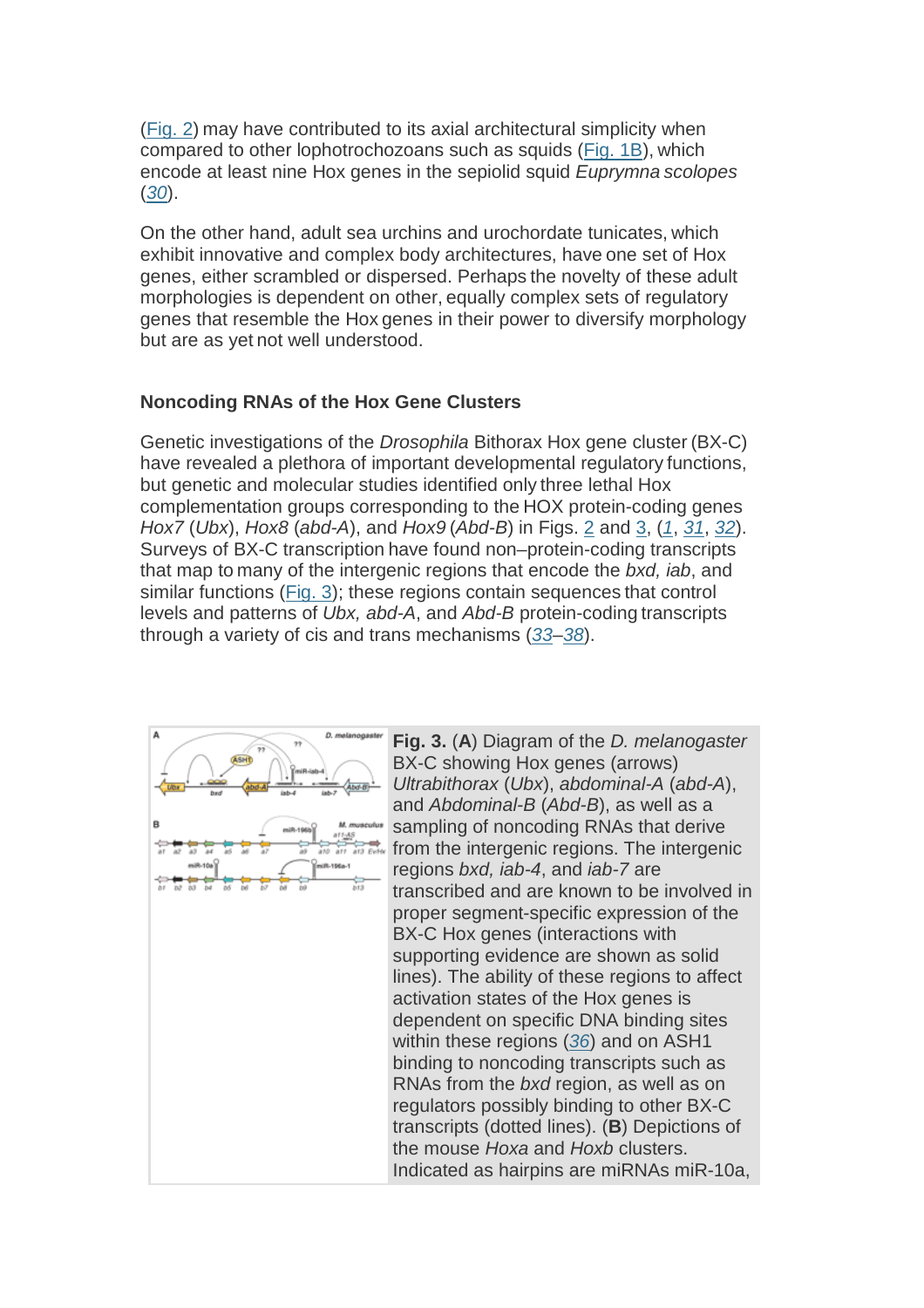(Fig. 2) may have contributed to its axial architectural simplicity when compared to other lophotrochozoans such as squids (Fig. 1B), which encode at least nine Hox genes in the sepiolid squid Euprymna scolopes (30).

On the other hand, adult sea urchins and urochordate tunicates, which exhibit innovative and complex body architectures, have one set of Hox genes, either scrambled or dispersed. Perhaps the novelty of these adult morphologies is dependent on other, equally complex sets of regulatory genes that resemble the Hox genes in their power to diversify morphology but are as yet not well understood.

### **Noncoding RNAs of the Hox Gene Clusters**

Genetic investigations of the Drosophila Bithorax Hox gene cluster (BX-C) have revealed a plethora of important developmental regulatory functions, but genetic and molecular studies identified only three lethal Hox complementation groups corresponding to the HOX protein-coding genes Hox7 (Ubx), Hox8 (abd-A), and Hox9 (Abd-B) in Figs. 2 and 3, (1, 31, 32). Surveys of BX-C transcription have found non–protein-coding transcripts that map to many of the intergenic regions that encode the bxd, iab, and similar functions (Fig. 3); these regions contain sequences that control levels and patterns of Ubx, abd-A, and Abd-B protein-coding transcripts through a variety of cis and trans mechanisms (33–38).



**Fig. 3.** (**A**) Diagram of the D. melanogaster BX-C showing Hox genes (arrows) Ultrabithorax (Ubx), abdominal-A (abd-A), and Abdominal-B (Abd-B), as well as a sampling of noncoding RNAs that derive from the intergenic regions. The intergenic regions bxd, iab-4, and iab-7 are transcribed and are known to be involved in proper segment-specific expression of the BX-C Hox genes (interactions with supporting evidence are shown as solid lines). The ability of these regions to affect activation states of the Hox genes is dependent on specific DNA binding sites within these regions (36) and on ASH1 binding to noncoding transcripts such as RNAs from the *bxd* region, as well as on regulators possibly binding to other BX-C transcripts (dotted lines). (**B**) Depictions of the mouse Hoxa and Hoxb clusters. Indicated as hairpins are miRNAs miR-10a,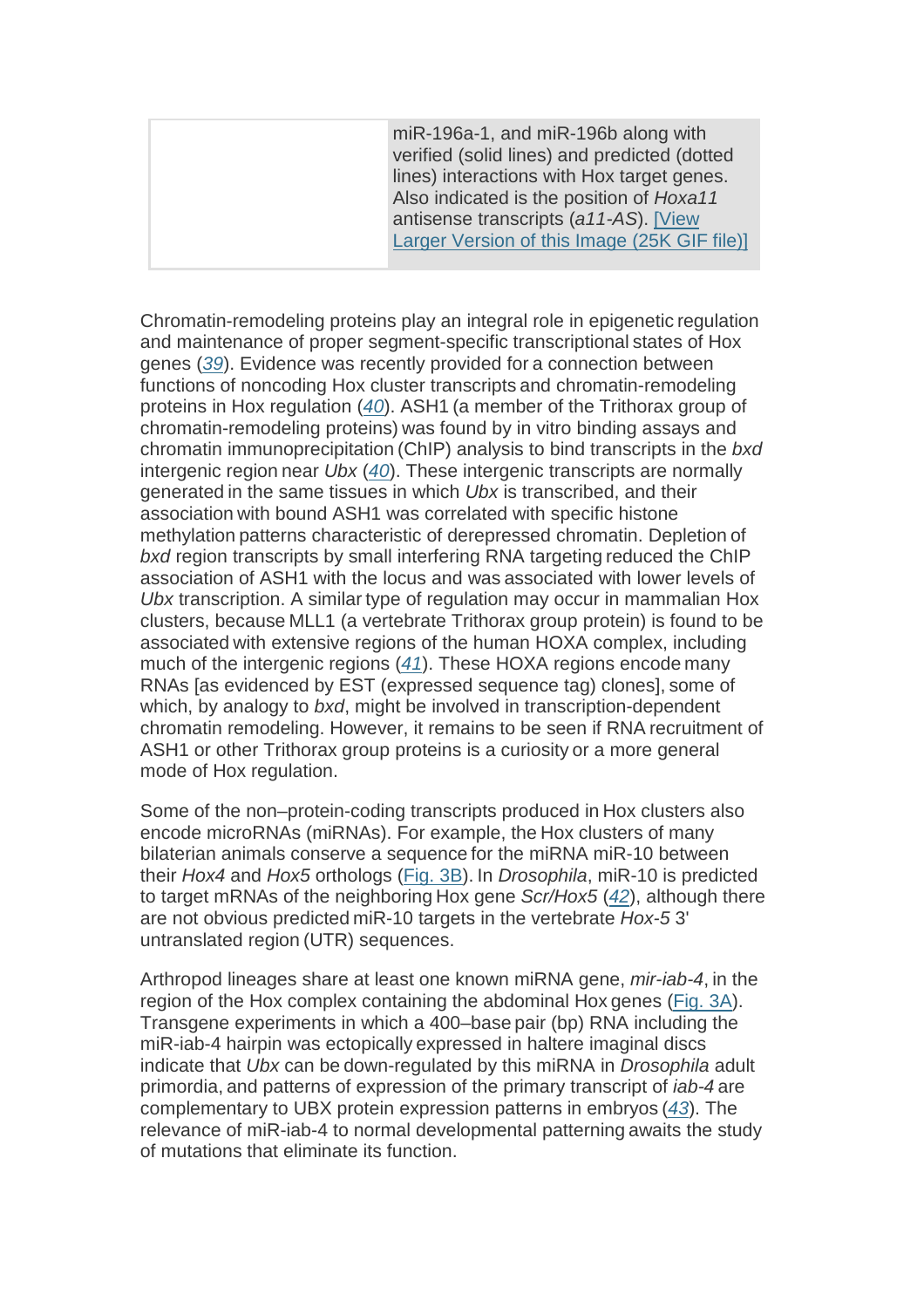miR-196a-1, and miR-196b along with verified (solid lines) and predicted (dotted lines) interactions with Hox target genes. Also indicated is the position of Hoxa11 antisense transcripts (a11-AS). [View Larger Version of this Image (25K GIF file)]

Chromatin-remodeling proteins play an integral role in epigenetic regulation and maintenance of proper segment-specific transcriptional states of Hox genes (39). Evidence was recently provided for a connection between functions of noncoding Hox cluster transcripts and chromatin-remodeling proteins in Hox regulation (40). ASH1 (a member of the Trithorax group of chromatin-remodeling proteins) was found by in vitro binding assays and chromatin immunoprecipitation (ChIP) analysis to bind transcripts in the bxd intergenic region near Ubx (40). These intergenic transcripts are normally generated in the same tissues in which Ubx is transcribed, and their association with bound ASH1 was correlated with specific histone methylation patterns characteristic of derepressed chromatin. Depletion of bxd region transcripts by small interfering RNA targeting reduced the ChIP association of ASH1 with the locus and was associated with lower levels of Ubx transcription. A similar type of regulation may occur in mammalian Hox clusters, because MLL1 (a vertebrate Trithorax group protein) is found to be associated with extensive regions of the human HOXA complex, including much of the intergenic regions (41). These HOXA regions encode many RNAs [as evidenced by EST (expressed sequence tag) clones], some of which, by analogy to bxd, might be involved in transcription-dependent chromatin remodeling. However, it remains to be seen if RNA recruitment of ASH1 or other Trithorax group proteins is a curiosity or a more general mode of Hox regulation.

Some of the non–protein-coding transcripts produced in Hox clusters also encode microRNAs (miRNAs). For example, the Hox clusters of many bilaterian animals conserve a sequence for the miRNA miR-10 between their Hox4 and Hox5 orthologs (Fig. 3B). In Drosophila, miR-10 is predicted to target mRNAs of the neighboring Hox gene Scr/Hox5 (42), although there are not obvious predicted miR-10 targets in the vertebrate Hox-5 3' untranslated region (UTR) sequences.

Arthropod lineages share at least one known miRNA gene, mir-iab-4, in the region of the Hox complex containing the abdominal Hox genes (Fig. 3A). Transgene experiments in which a 400–base pair (bp) RNA including the miR-iab-4 hairpin was ectopically expressed in haltere imaginal discs indicate that Ubx can be down-regulated by this miRNA in Drosophila adult primordia, and patterns of expression of the primary transcript of iab-4 are complementary to UBX protein expression patterns in embryos (43). The relevance of miR-iab-4 to normal developmental patterning awaits the study of mutations that eliminate its function.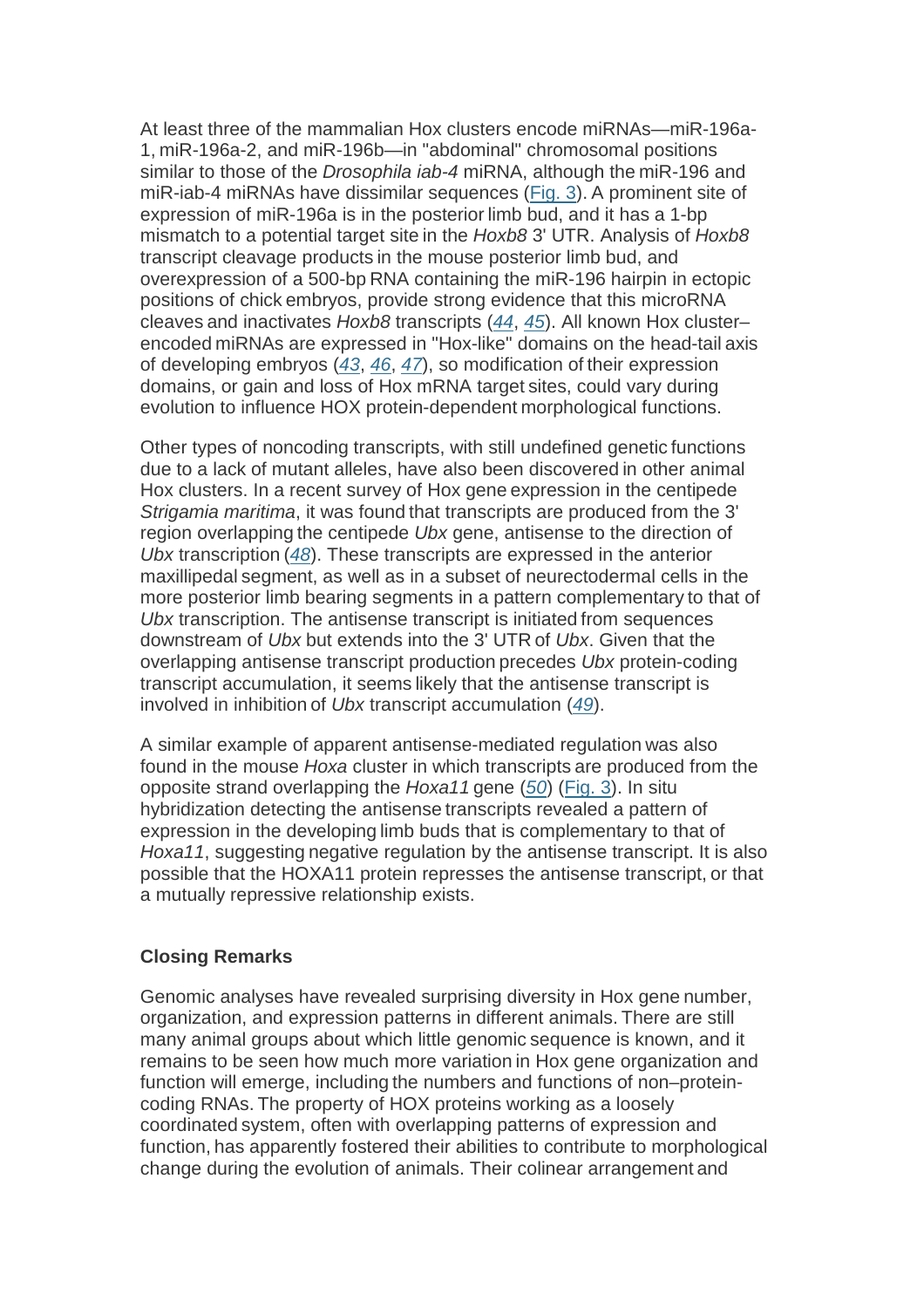At least three of the mammalian Hox clusters encode miRNAs—miR-196a-1, miR-196a-2, and miR-196b—in "abdominal" chromosomal positions similar to those of the *Drosophila iab-4* miRNA, although the miR-196 and miR-iab-4 miRNAs have dissimilar sequences (Fig. 3). A prominent site of expression of miR-196a is in the posterior limb bud, and it has a 1-bp mismatch to a potential target site in the Hoxb8 3' UTR. Analysis of Hoxb8 transcript cleavage products in the mouse posterior limb bud, and overexpression of a 500-bp RNA containing the miR-196 hairpin in ectopic positions of chick embryos, provide strong evidence that this microRNA cleaves and inactivates Hoxb8 transcripts (44, 45). All known Hox cluster– encoded miRNAs are expressed in "Hox-like" domains on the head-tail axis of developing embryos (43, 46, 47), so modification of their expression domains, or gain and loss of Hox mRNA target sites, could vary during evolution to influence HOX protein-dependent morphological functions.

Other types of noncoding transcripts, with still undefined genetic functions due to a lack of mutant alleles, have also been discovered in other animal Hox clusters. In a recent survey of Hox gene expression in the centipede Strigamia maritima, it was found that transcripts are produced from the 3' region overlapping the centipede Ubx gene, antisense to the direction of Ubx transcription (48). These transcripts are expressed in the anterior maxillipedal segment, as well as in a subset of neurectodermal cells in the more posterior limb bearing segments in a pattern complementary to that of Ubx transcription. The antisense transcript is initiated from sequences downstream of Ubx but extends into the 3' UTR of Ubx. Given that the overlapping antisense transcript production precedes Ubx protein-coding transcript accumulation, it seems likely that the antisense transcript is involved in inhibition of Ubx transcript accumulation (49).

A similar example of apparent antisense-mediated regulation was also found in the mouse Hoxa cluster in which transcripts are produced from the opposite strand overlapping the Hoxa11 gene (50) (Fig. 3). In situ hybridization detecting the antisense transcripts revealed a pattern of expression in the developing limb buds that is complementary to that of Hoxa11, suggesting negative regulation by the antisense transcript. It is also possible that the HOXA11 protein represses the antisense transcript, or that a mutually repressive relationship exists.

### **Closing Remarks**

Genomic analyses have revealed surprising diversity in Hox gene number, organization, and expression patterns in different animals. There are still many animal groups about which little genomic sequence is known, and it remains to be seen how much more variation in Hox gene organization and function will emerge, including the numbers and functions of non–proteincoding RNAs. The property of HOX proteins working as a loosely coordinated system, often with overlapping patterns of expression and function, has apparently fostered their abilities to contribute to morphological change during the evolution of animals. Their colinear arrangement and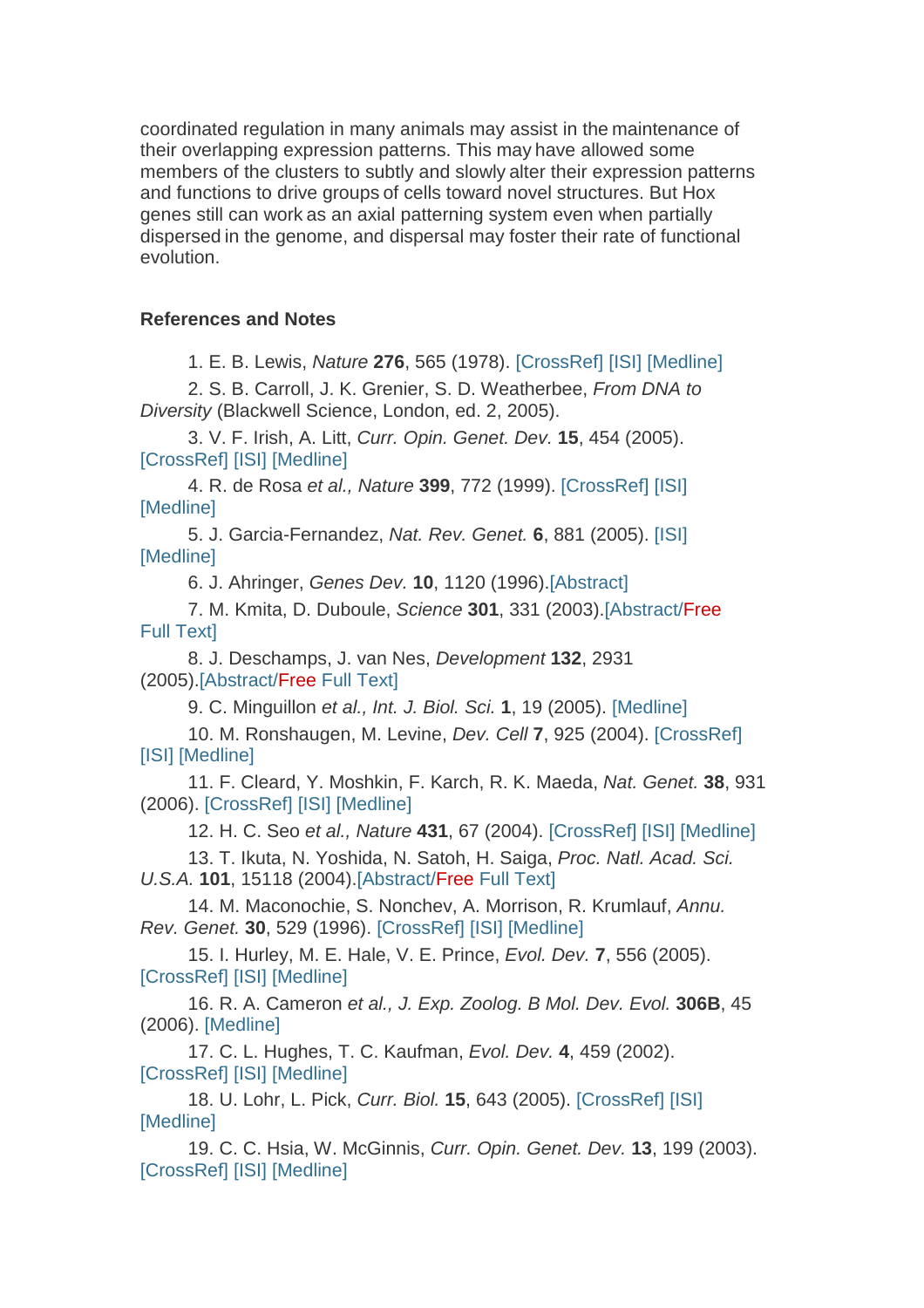coordinated regulation in many animals may assist in the maintenance of their overlapping expression patterns. This may have allowed some members of the clusters to subtly and slowly alter their expression patterns and functions to drive groups of cells toward novel structures. But Hox genes still can work as an axial patterning system even when partially dispersed in the genome, and dispersal may foster their rate of functional evolution.

#### **References and Notes**

1. E. B. Lewis, Nature **276**, 565 (1978). [CrossRef] [ISI] [Medline]

2. S. B. Carroll, J. K. Grenier, S. D. Weatherbee, From DNA to Diversity (Blackwell Science, London, ed. 2, 2005).

3. V. F. Irish, A. Litt, Curr. Opin. Genet. Dev. **15**, 454 (2005). [CrossRef] [ISI] [Medline]

4. R. de Rosa et al., Nature **399**, 772 (1999). [CrossRef] [ISI] [Medline]

5. J. Garcia-Fernandez, Nat. Rev. Genet. **6**, 881 (2005). [ISI] [Medline]

6. J. Ahringer, Genes Dev. **10**, 1120 (1996).[Abstract]

7. M. Kmita, D. Duboule, Science **301**, 331 (2003).[Abstract/Free Full Text]

8. J. Deschamps, J. van Nes, Development **132**, 2931 (2005).[Abstract/Free Full Text]

9. C. Minguillon et al., Int. J. Biol. Sci. **1**, 19 (2005). [Medline]

10. M. Ronshaugen, M. Levine, Dev. Cell **7**, 925 (2004). [CrossRef] [ISI] [Medline]

11. F. Cleard, Y. Moshkin, F. Karch, R. K. Maeda, Nat. Genet. **38**, 931 (2006). [CrossRef] [ISI] [Medline]

12. H. C. Seo et al., Nature **431**, 67 (2004). [CrossRef] [ISI] [Medline]

13. T. Ikuta, N. Yoshida, N. Satoh, H. Saiga, Proc. Natl. Acad. Sci. U.S.A. **101**, 15118 (2004).[Abstract/Free Full Text]

14. M. Maconochie, S. Nonchev, A. Morrison, R. Krumlauf, Annu. Rev. Genet. **30**, 529 (1996). [CrossRef] [ISI] [Medline]

15. I. Hurley, M. E. Hale, V. E. Prince, Evol. Dev. **7**, 556 (2005). [CrossRef] [ISI] [Medline]

16. R. A. Cameron et al., J. Exp. Zoolog. B Mol. Dev. Evol. **306B**, 45 (2006). [Medline]

17. C. L. Hughes, T. C. Kaufman, Evol. Dev. **4**, 459 (2002). [CrossRef] [ISI] [Medline]

18. U. Lohr, L. Pick, Curr. Biol. **15**, 643 (2005). [CrossRef] [ISI] [Medline]

19. C. C. Hsia, W. McGinnis, Curr. Opin. Genet. Dev. **13**, 199 (2003). [CrossRef] [ISI] [Medline]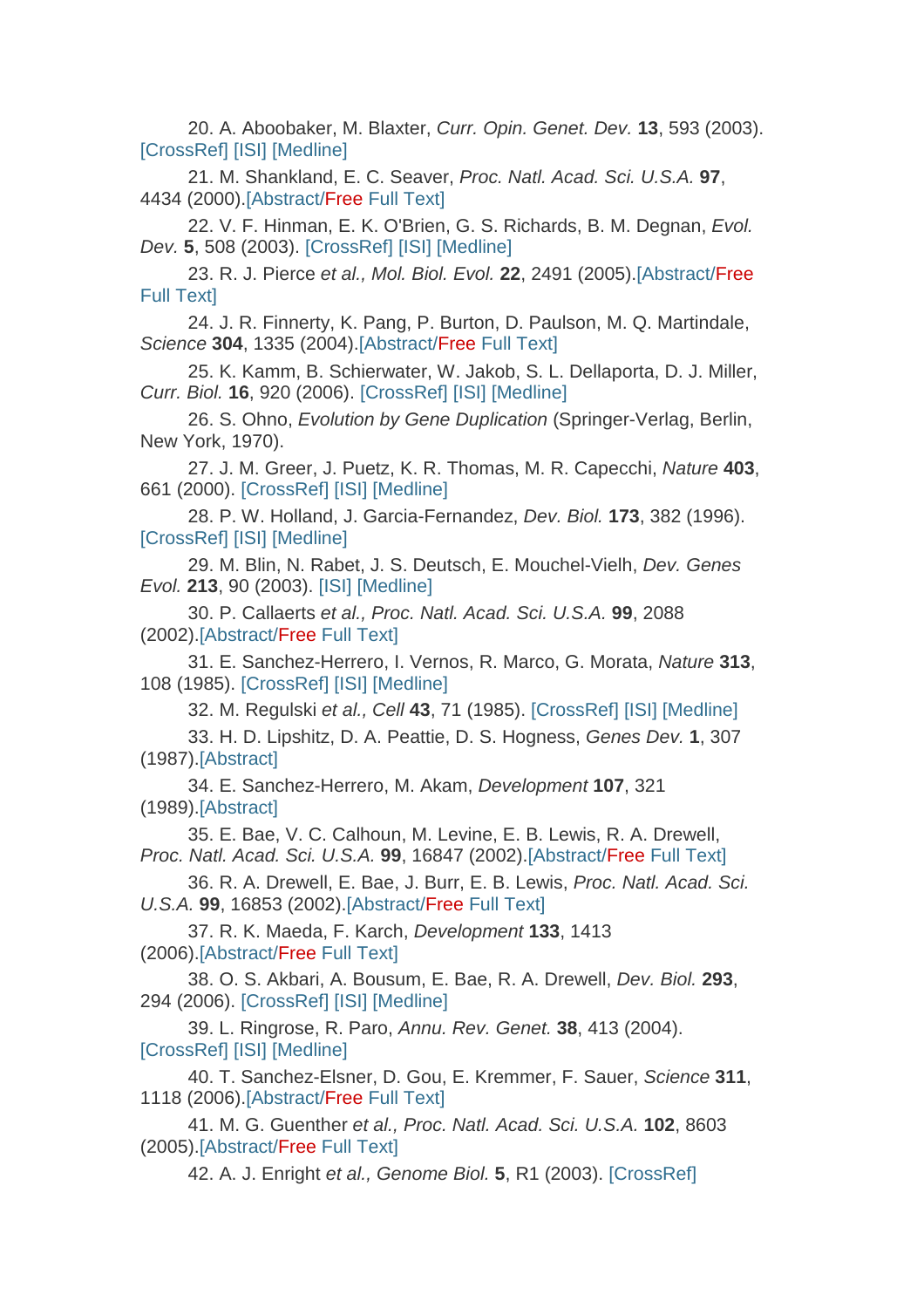20. A. Aboobaker, M. Blaxter, Curr. Opin. Genet. Dev. **13**, 593 (2003). [CrossRef] [ISI] [Medline]

21. M. Shankland, E. C. Seaver, Proc. Natl. Acad. Sci. U.S.A. **97**, 4434 (2000).[Abstract/Free Full Text]

22. V. F. Hinman, E. K. O'Brien, G. S. Richards, B. M. Degnan, Evol. Dev. **5**, 508 (2003). [CrossRef] [ISI] [Medline]

23. R. J. Pierce et al., Mol. Biol. Evol. **22**, 2491 (2005).[Abstract/Free Full Text]

24. J. R. Finnerty, K. Pang, P. Burton, D. Paulson, M. Q. Martindale, Science **304**, 1335 (2004).[Abstract/Free Full Text]

25. K. Kamm, B. Schierwater, W. Jakob, S. L. Dellaporta, D. J. Miller, Curr. Biol. **16**, 920 (2006). [CrossRef] [ISI] [Medline]

26. S. Ohno, Evolution by Gene Duplication (Springer-Verlag, Berlin, New York, 1970).

27. J. M. Greer, J. Puetz, K. R. Thomas, M. R. Capecchi, Nature **403**, 661 (2000). [CrossRef] [ISI] [Medline]

28. P. W. Holland, J. Garcia-Fernandez, Dev. Biol. **173**, 382 (1996). [CrossRef] [ISI] [Medline]

29. M. Blin, N. Rabet, J. S. Deutsch, E. Mouchel-Vielh, Dev. Genes Evol. **213**, 90 (2003). [ISI] [Medline]

30. P. Callaerts et al., Proc. Natl. Acad. Sci. U.S.A. **99**, 2088 (2002).[Abstract/Free Full Text]

31. E. Sanchez-Herrero, I. Vernos, R. Marco, G. Morata, Nature **313**, 108 (1985). [CrossRef] [ISI] [Medline]

32. M. Regulski et al., Cell **43**, 71 (1985). [CrossRef] [ISI] [Medline]

33. H. D. Lipshitz, D. A. Peattie, D. S. Hogness, Genes Dev. **1**, 307 (1987).[Abstract]

34. E. Sanchez-Herrero, M. Akam, Development **107**, 321 (1989).[Abstract]

35. E. Bae, V. C. Calhoun, M. Levine, E. B. Lewis, R. A. Drewell, Proc. Natl. Acad. Sci. U.S.A. **99**, 16847 (2002).[Abstract/Free Full Text]

36. R. A. Drewell, E. Bae, J. Burr, E. B. Lewis, Proc. Natl. Acad. Sci. U.S.A. **99**, 16853 (2002).[Abstract/Free Full Text]

37. R. K. Maeda, F. Karch, Development **133**, 1413 (2006).[Abstract/Free Full Text]

38. O. S. Akbari, A. Bousum, E. Bae, R. A. Drewell, Dev. Biol. **293**, 294 (2006). [CrossRef] [ISI] [Medline]

39. L. Ringrose, R. Paro, Annu. Rev. Genet. **38**, 413 (2004). [CrossRef] [ISI] [Medline]

40. T. Sanchez-Elsner, D. Gou, E. Kremmer, F. Sauer, Science **311**, 1118 (2006).[Abstract/Free Full Text]

41. M. G. Guenther et al., Proc. Natl. Acad. Sci. U.S.A. **102**, 8603 (2005).[Abstract/Free Full Text]

42. A. J. Enright et al., Genome Biol. **5**, R1 (2003). [CrossRef]